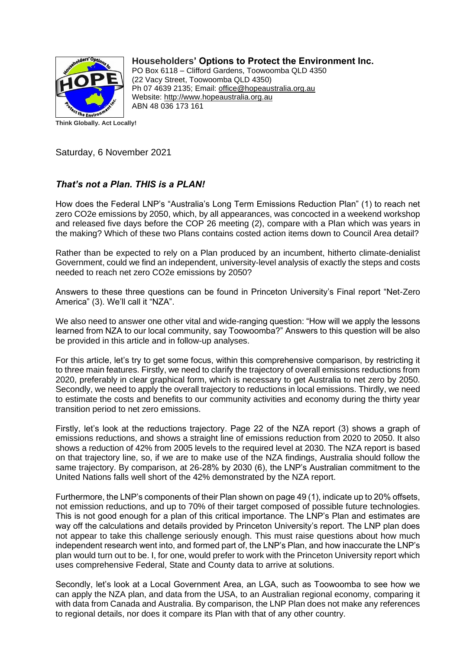

**Householders' Options to Protect the Environment Inc.**

PO Box 6118 – Clifford Gardens, Toowoomba QLD 4350 (22 Vacy Street, Toowoomba QLD 4350) Ph 07 4639 2135; Email: office@hopeaustralia.org.au Website: [http://www.hopeaustralia.org.au](http://www.hopeaustralia.org.au/) ABN 48 036 173 161

Saturday, 6 November 2021

## *That's not a Plan. THIS is a PLAN!*

How does the Federal LNP's "Australia's Long Term Emissions Reduction Plan" (1) to reach net zero CO2e emissions by 2050, which, by all appearances, was concocted in a weekend workshop and released five days before the COP 26 meeting (2), compare with a Plan which was years in the making? Which of these two Plans contains costed action items down to Council Area detail?

Rather than be expected to rely on a Plan produced by an incumbent, hitherto climate-denialist Government, could we find an independent, university-level analysis of exactly the steps and costs needed to reach net zero CO2e emissions by 2050?

Answers to these three questions can be found in Princeton University's Final report "Net-Zero America" (3). We'll call it "NZA".

We also need to answer one other vital and wide-ranging question: "How will we apply the lessons learned from NZA to our local community, say Toowoomba?" Answers to this question will be also be provided in this article and in follow-up analyses.

For this article, let's try to get some focus, within this comprehensive comparison, by restricting it to three main features. Firstly, we need to clarify the trajectory of overall emissions reductions from 2020, preferably in clear graphical form, which is necessary to get Australia to net zero by 2050. Secondly, we need to apply the overall trajectory to reductions in local emissions. Thirdly, we need to estimate the costs and benefits to our community activities and economy during the thirty year transition period to net zero emissions.

Firstly, let's look at the reductions trajectory. Page 22 of the NZA report (3) shows a graph of emissions reductions, and shows a straight line of emissions reduction from 2020 to 2050. It also shows a reduction of 42% from 2005 levels to the required level at 2030. The NZA report is based on that trajectory line, so, if we are to make use of the NZA findings, Australia should follow the same trajectory. By comparison, at 26-28% by 2030 (6), the LNP's Australian commitment to the United Nations falls well short of the 42% demonstrated by the NZA report.

Furthermore, the LNP's components of their Plan shown on page 49 (1), indicate up to 20% offsets, not emission reductions, and up to 70% of their target composed of possible future technologies. This is not good enough for a plan of this critical importance. The LNP's Plan and estimates are way off the calculations and details provided by Princeton University's report. The LNP plan does not appear to take this challenge seriously enough. This must raise questions about how much independent research went into, and formed part of, the LNP's Plan, and how inaccurate the LNP's plan would turn out to be. I, for one, would prefer to work with the Princeton University report which uses comprehensive Federal, State and County data to arrive at solutions.

Secondly, let's look at a Local Government Area, an LGA, such as Toowoomba to see how we can apply the NZA plan, and data from the USA, to an Australian regional economy, comparing it with data from Canada and Australia. By comparison, the LNP Plan does not make any references to regional details, nor does it compare its Plan with that of any other country.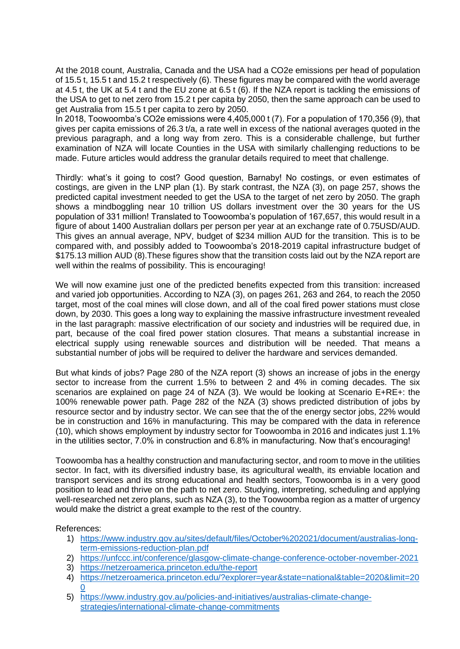At the 2018 count, Australia, Canada and the USA had a CO2e emissions per head of population of 15.5 t, 15.5 t and 15.2 t respectively (6). These figures may be compared with the world average at 4.5 t, the UK at 5.4 t and the EU zone at 6.5 t (6). If the NZA report is tackling the emissions of the USA to get to net zero from 15.2 t per capita by 2050, then the same approach can be used to get Australia from 15.5 t per capita to zero by 2050.

In 2018, Toowoomba's CO2e emissions were 4,405,000 t (7). For a population of 170,356 (9), that gives per capita emissions of 26.3 t/a, a rate well in excess of the national averages quoted in the previous paragraph, and a long way from zero. This is a considerable challenge, but further examination of NZA will locate Counties in the USA with similarly challenging reductions to be made. Future articles would address the granular details required to meet that challenge.

Thirdly: what's it going to cost? Good question, Barnaby! No costings, or even estimates of costings, are given in the LNP plan (1). By stark contrast, the NZA (3), on page 257, shows the predicted capital investment needed to get the USA to the target of net zero by 2050. The graph shows a mindboggling near 10 trillion US dollars investment over the 30 years for the US population of 331 million! Translated to Toowoomba's population of 167,657, this would result in a figure of about 1400 Australian dollars per person per year at an exchange rate of 0.75USD/AUD. This gives an annual average, NPV, budget of \$234 million AUD for the transition. This is to be compared with, and possibly added to Toowoomba's 2018-2019 capital infrastructure budget of \$175.13 million AUD (8).These figures show that the transition costs laid out by the NZA report are well within the realms of possibility. This is encouraging!

We will now examine just one of the predicted benefits expected from this transition: increased and varied job opportunities. According to NZA (3), on pages 261, 263 and 264, to reach the 2050 target, most of the coal mines will close down, and all of the coal fired power stations must close down, by 2030. This goes a long way to explaining the massive infrastructure investment revealed in the last paragraph: massive electrification of our society and industries will be required due, in part, because of the coal fired power station closures. That means a substantial increase in electrical supply using renewable sources and distribution will be needed. That means a substantial number of jobs will be required to deliver the hardware and services demanded.

But what kinds of jobs? Page 280 of the NZA report (3) shows an increase of jobs in the energy sector to increase from the current 1.5% to between 2 and 4% in coming decades. The six scenarios are explained on page 24 of NZA (3). We would be looking at Scenario E+RE+: the 100% renewable power path. Page 282 of the NZA (3) shows predicted distribution of jobs by resource sector and by industry sector. We can see that the of the energy sector jobs, 22% would be in construction and 16% in manufacturing. This may be compared with the data in reference (10), which shows employment by industry sector for Toowoomba in 2016 and indicates just 1.1% in the utilities sector, 7.0% in construction and 6.8% in manufacturing. Now that's encouraging!

Toowoomba has a healthy construction and manufacturing sector, and room to move in the utilities sector. In fact, with its diversified industry base, its agricultural wealth, its enviable location and transport services and its strong educational and health sectors, Toowoomba is in a very good position to lead and thrive on the path to net zero. Studying, interpreting, scheduling and applying well-researched net zero plans, such as NZA (3), to the Toowoomba region as a matter of urgency would make the district a great example to the rest of the country.

References:

- 1) [https://www.industry.gov.au/sites/default/files/October%202021/document/australias-long](https://www.industry.gov.au/sites/default/files/October%202021/document/australias-long-term-emissions-reduction-plan.pdf)[term-emissions-reduction-plan.pdf](https://www.industry.gov.au/sites/default/files/October%202021/document/australias-long-term-emissions-reduction-plan.pdf)
- 2) <https://unfccc.int/conference/glasgow-climate-change-conference-october-november-2021>
- 3) <https://netzeroamerica.princeton.edu/the-report>
- 4) [https://netzeroamerica.princeton.edu/?explorer=year&state=national&table=2020&limit=20](https://netzeroamerica.princeton.edu/?explorer=year&state=national&table=2020&limit=200)  $\Omega$
- 5) [https://www.industry.gov.au/policies-and-initiatives/australias-climate-change](https://www.industry.gov.au/policies-and-initiatives/australias-climate-change-strategies/international-climate-change-commitments)[strategies/international-climate-change-commitments](https://www.industry.gov.au/policies-and-initiatives/australias-climate-change-strategies/international-climate-change-commitments)